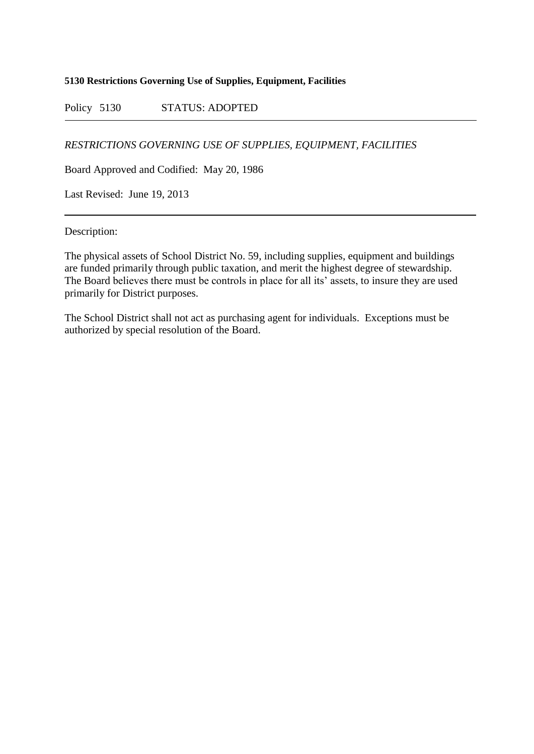## **5130 Restrictions Governing Use of Supplies, Equipment, Facilities**

Policy 5130 STATUS: ADOPTED

*RESTRICTIONS GOVERNING USE OF SUPPLIES, EQUIPMENT, FACILITIES*

Board Approved and Codified: May 20, 1986

Last Revised: June 19, 2013

Description:

The physical assets of School District No. 59, including supplies, equipment and buildings are funded primarily through public taxation, and merit the highest degree of stewardship. The Board believes there must be controls in place for all its' assets, to insure they are used primarily for District purposes.

The School District shall not act as purchasing agent for individuals. Exceptions must be authorized by special resolution of the Board.